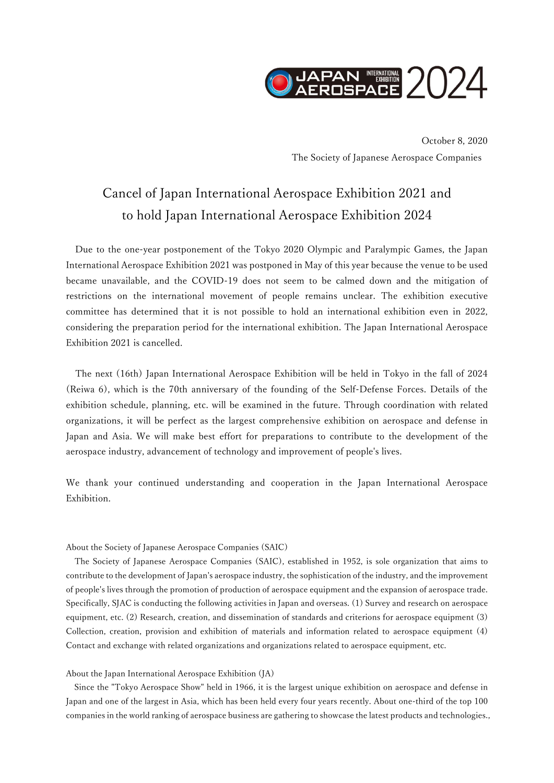

October 8, 2020 The Society of Japanese Aerospace Companies

## Cancel of Japan International Aerospace Exhibition 2021 and to hold Japan International Aerospace Exhibition 2024

Due to the one-year postponement of the Tokyo 2020 Olympic and Paralympic Games, the Japan International Aerospace Exhibition 2021 was postponed in May of this year because the venue to be used became unavailable, and the COVID-19 does not seem to be calmed down and the mitigation of restrictions on the international movement of people remains unclear. The exhibition executive committee has determined that it is not possible to hold an international exhibition even in 2022, considering the preparation period for the international exhibition. The Japan International Aerospace Exhibition 2021 is cancelled.

The next (16th) Japan International Aerospace Exhibition will be held in Tokyo in the fall of 2024 (Reiwa 6), which is the 70th anniversary of the founding of the Self-Defense Forces. Details of the exhibition schedule, planning, etc. will be examined in the future. Through coordination with related organizations, it will be perfect as the largest comprehensive exhibition on aerospace and defense in Japan and Asia. We will make best effort for preparations to contribute to the development of the aerospace industry, advancement of technology and improvement of people's lives.

We thank your continued understanding and cooperation in the Japan International Aerospace Exhibition.

## About the Society of Japanese Aerospace Companies (SAIC)

 The Society of Japanese Aerospace Companies (SAIC), established in 1952, is sole organization that aims to contribute to the development of Japan's aerospace industry, the sophistication of the industry, and the improvement of people's lives through the promotion of production of aerospace equipment and the expansion of aerospace trade. Specifically, SJAC is conducting the following activities in Japan and overseas. (1) Survey and research on aerospace equipment, etc. (2) Research, creation, and dissemination of standards and criterions for aerospace equipment (3) Collection, creation, provision and exhibition of materials and information related to aerospace equipment (4) Contact and exchange with related organizations and organizations related to aerospace equipment, etc.

## About the Japan International Aerospace Exhibition (JA)

 Since the "Tokyo Aerospace Show" held in 1966, it is the largest unique exhibition on aerospace and defense in Japan and one of the largest in Asia, which has been held every four years recently. About one-third of the top 100 companies in the world ranking of aerospace business are gathering to showcase the latest products and technologies.,